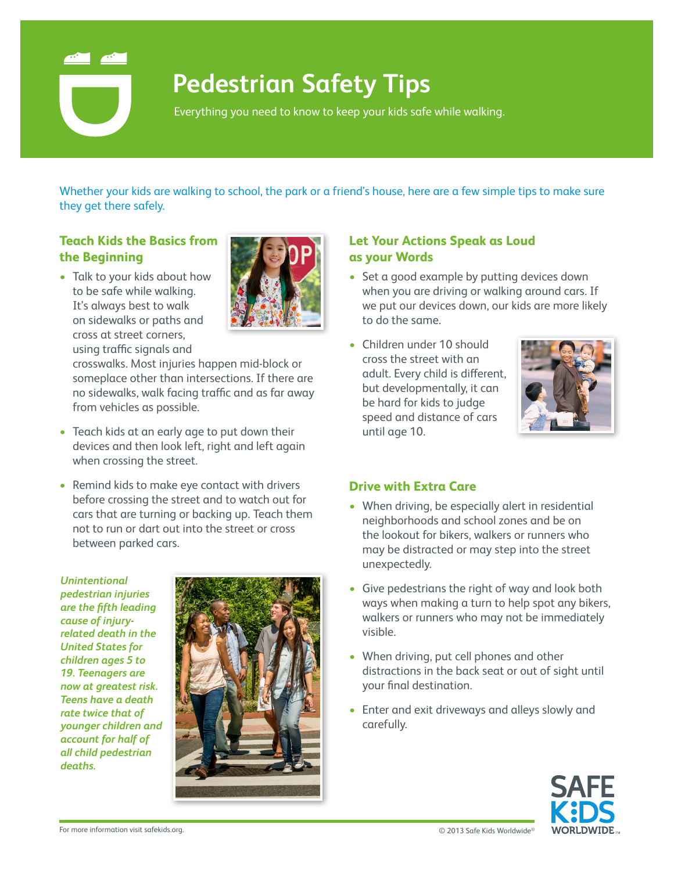

# **Pedestrian Safety Tips**

Everything you need to know to keep your kids safe while walking.

Whether your kids are walking to school, the park or a friend's house, here are a few simple tips to make sure they get there safely.

## **Teach Kids the Basics from the Beginning**

• Talk to your kids about how to be safe while walking. It's always best to walk on sidewalks or paths and cross at street corners, using traffic signals and



crosswalks. Most injuries happen mid-block or someplace other than intersections. If there are no sidewalks, walk facing traffic and as far away from vehicles as possible.

- Teach kids at an early age to put down their devices and then look left, right and left again when crossing the street.
- Remind kids to make eye contact with drivers before crossing the street and to watch out for cars that are turning or backing up. Teach them not to run or dart out into the street or cross between parked cars.

#### *Unintentional pedestrian injuries are the fifth leading cause of injuryrelated death in the United States for children ages 5 to 19. Teenagers are now at greatest risk. Teens have a death rate twice that of younger children and account for half of all child pedestrian deaths.*



### **Let Your Actions Speak as Loud as your Words**

- Set a good example by putting devices down when you are driving or walking around cars. If we put our devices down, our kids are more likely to do the same.
- Children under 10 should cross the street with an adult. Every child is different, but developmentally, it can be hard for kids to judge speed and distance of cars until age 10.



#### **Drive with Extra Care**

- When driving, be especially alert in residential neighborhoods and school zones and be on the lookout for bikers, walkers or runners who may be distracted or may step into the street unexpectedly.
- Give pedestrians the right of way and look both ways when making a turn to help spot any bikers, walkers or runners who may not be immediately visible.
- When driving, put cell phones and other distractions in the back seat or out of sight until your final destination.
- Enter and exit driveways and alleys slowly and carefully.



© 2013 Safe Kids Worldwide For more information visit safekids.org. ®